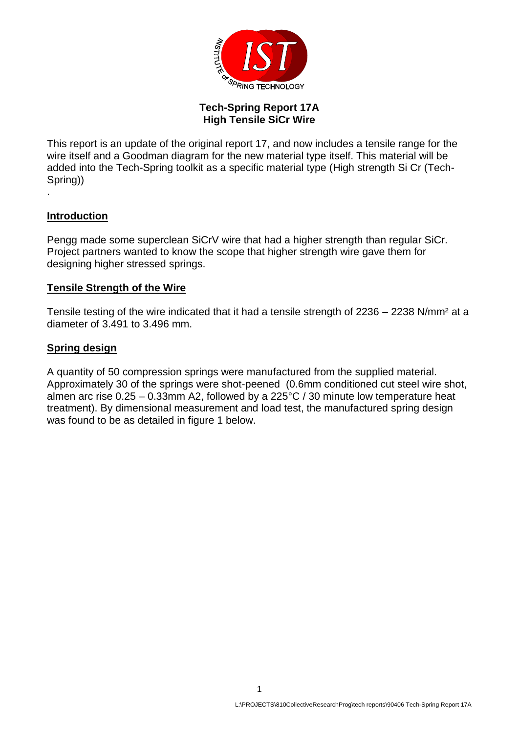

### **Tech-Spring Report 17A High Tensile SiCr Wire**

This report is an update of the original report 17, and now includes a tensile range for the wire itself and a Goodman diagram for the new material type itself. This material will be added into the Tech-Spring toolkit as a specific material type (High strength Si Cr (Tech-Spring)) .

### **Introduction**

Pengg made some superclean SiCrV wire that had a higher strength than regular SiCr. Project partners wanted to know the scope that higher strength wire gave them for designing higher stressed springs.

#### **Tensile Strength of the Wire**

Tensile testing of the wire indicated that it had a tensile strength of 2236 – 2238 N/mm² at a diameter of 3.491 to 3.496 mm.

#### **Spring design**

A quantity of 50 compression springs were manufactured from the supplied material. Approximately 30 of the springs were shot-peened (0.6mm conditioned cut steel wire shot, almen arc rise 0.25 – 0.33mm A2, followed by a 225°C / 30 minute low temperature heat treatment). By dimensional measurement and load test, the manufactured spring design was found to be as detailed in figure 1 below.

1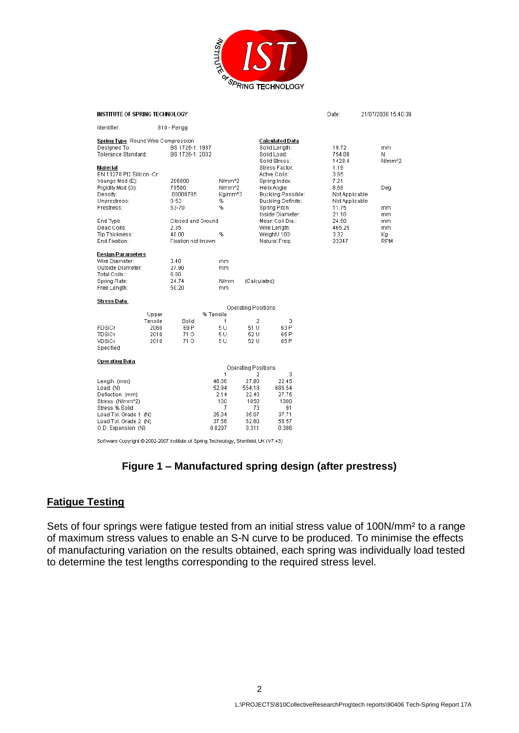

| INSTITUTE OF SPRING TECHNOLOGY                                                                                                                                                                                   | Date:                                                                                                        | 21/07/2008 15:40:39                                                 |                                                                        |                                                                                                                                                                                                                                                 |                                                                                                                          |                                                          |
|------------------------------------------------------------------------------------------------------------------------------------------------------------------------------------------------------------------|--------------------------------------------------------------------------------------------------------------|---------------------------------------------------------------------|------------------------------------------------------------------------|-------------------------------------------------------------------------------------------------------------------------------------------------------------------------------------------------------------------------------------------------|--------------------------------------------------------------------------------------------------------------------------|----------------------------------------------------------|
| Identifier:                                                                                                                                                                                                      | 810 - Pengg                                                                                                  |                                                                     |                                                                        |                                                                                                                                                                                                                                                 |                                                                                                                          |                                                          |
| Spring Type Round Wire Compression<br>Designed To:<br>Tolerance Standard:<br>Material<br>EN 10270 Pt2 Silicon -Cr<br>Youngs Mod (E):<br>Rigidity Mod (G):<br>Density:<br>Unprestress:<br>Prestress:<br>End Type: | BS 1726-1: 1987<br>BS 1726-1: 2002<br>206000<br>79500<br>.00000785<br>$0 - 53$<br>53-70<br>Closed and Ground | N/mm^2<br>N/mm <sup>x</sup> 2<br>Ka/mm^3<br>%<br>%                  |                                                                        | <b>Calculated Data</b><br>Solid Lenath:<br>Solid Load:<br>Solid Stress:<br>Stress Factor:<br>Active Coils:<br>Spring Index:<br>Helix Angle:<br>Buckling Possible:<br>Buckling Definite:<br>Spring Pitch:<br>Inside Diameter:<br>Mean Coil Dia.: | 19.72<br>754.08<br>1428.4<br>1.19<br>3.65<br>7.21<br>8.68<br>Not Applicable<br>Not Applicable<br>11.75<br>21.10<br>24.50 | mm.<br>Ν<br>N/mm <sup>4</sup> 2<br>Deg<br>mm<br>mm<br>mm |
| Dead Coils:<br>Tip Thickness:<br>End Fixation:                                                                                                                                                                   | 2.35<br>40.00<br>Fixation not known                                                                          | %                                                                   |                                                                        | Wire Length:<br>Weight / 100:<br>Natural Freq:                                                                                                                                                                                                  | 465.25<br>3.32<br>33347                                                                                                  | mm<br>Кq<br><b>RPM</b>                                   |
| <b>Design Parameters</b><br>Wire Diameter:<br>Outside Diameter:<br>Total Coils:<br>Spring Rate:<br>Free Length:                                                                                                  | 3.40<br>27.90<br>6.00<br>24.74<br>50.20                                                                      | mm<br>mm<br>N/mm<br>mm                                              | (Calculated)                                                           |                                                                                                                                                                                                                                                 |                                                                                                                          |                                                          |
| Stress Data                                                                                                                                                                                                      |                                                                                                              |                                                                     |                                                                        |                                                                                                                                                                                                                                                 |                                                                                                                          |                                                          |
| <b>Operating Positions</b><br>% Tensile<br>Upper                                                                                                                                                                 |                                                                                                              |                                                                     |                                                                        |                                                                                                                                                                                                                                                 |                                                                                                                          |                                                          |
| Tensile<br>FDSiCr<br>2060<br>TDSiCr<br>2010<br>VDSiCr<br>2010<br>Specified                                                                                                                                       | Solid<br>69 P<br>710<br>71 O                                                                                 | 1<br>5U<br>5 U<br>5 U                                               | 2<br>51 U<br>52 U<br>52 U                                              | 3<br>63 P<br>65 P<br>65 P                                                                                                                                                                                                                       |                                                                                                                          |                                                          |
| <b>Operating Data</b>                                                                                                                                                                                            |                                                                                                              |                                                                     | <b>Operating Positions</b>                                             |                                                                                                                                                                                                                                                 |                                                                                                                          |                                                          |
| Length (mm)<br>Load (N)<br>Deflection (mm)<br>Stress (N/mm^2)<br>Stress % Solid<br>Load Tol. Grade 1 (N)<br>Load Tol. Grade 2 (N)<br>O.D. Expansion (N)                                                          |                                                                                                              | 1<br>48.06<br>52.94<br>2.14<br>100<br>7<br>25.04<br>37.56<br>0.0297 | 2<br>27.80<br>554.18<br>22.40<br>1050<br>73<br>35.07<br>52.60<br>0.311 | 3<br>22.45<br>686.54<br>27.75<br>1300<br>91<br>37.71<br>56.57<br>0.386                                                                                                                                                                          |                                                                                                                          |                                                          |

Software Copyright @ 2002-2007 Institute of Spring Technology, Sheffield, UK (V7.43)

# **Figure 1 – Manufactured spring design (after prestress)**

# **Fatigue Testing**

Sets of four springs were fatigue tested from an initial stress value of 100N/mm² to a range of maximum stress values to enable an S-N curve to be produced. To minimise the effects of manufacturing variation on the results obtained, each spring was individually load tested to determine the test lengths corresponding to the required stress level.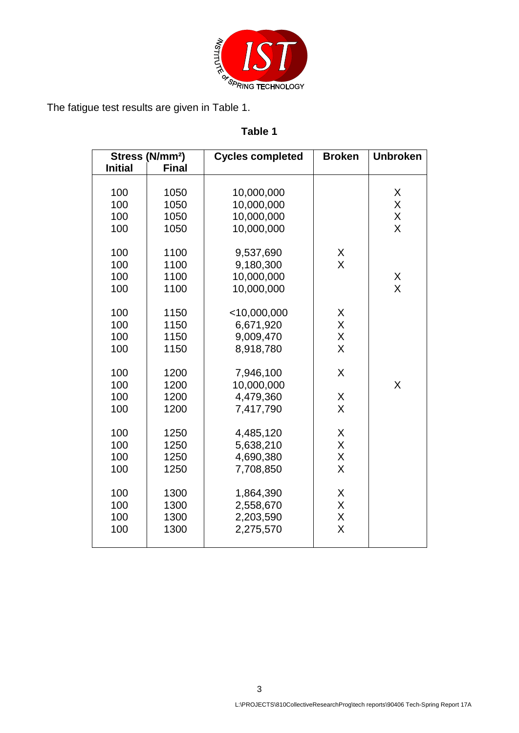

# **Table 1**

| Stress (N/mm <sup>2</sup> ) |              | <b>Cycles completed</b> | <b>Broken</b>  | <b>Unbroken</b> |
|-----------------------------|--------------|-------------------------|----------------|-----------------|
| <b>Initial</b>              | <b>Final</b> |                         |                |                 |
|                             |              |                         |                |                 |
| 100                         | 1050         | 10,000,000              |                | Χ               |
| 100                         | 1050         | 10,000,000              |                | X               |
| 100                         | 1050         | 10,000,000              |                | X               |
| 100                         | 1050         | 10,000,000              |                | X               |
|                             |              |                         |                |                 |
| 100                         | 1100         | 9,537,690               | X              |                 |
| 100                         | 1100         | 9,180,300               | $\mathsf{X}$   |                 |
| 100                         | 1100         | 10,000,000              |                | X               |
| 100                         | 1100         | 10,000,000              |                | X               |
| 100                         | 1150         | $<$ 10,000,000          | X              |                 |
| 100                         | 1150         | 6,671,920               | X              |                 |
| 100                         | 1150         | 9,009,470               | X              |                 |
| 100                         | 1150         | 8,918,780               | $\overline{X}$ |                 |
|                             |              |                         |                |                 |
| 100                         | 1200         | 7,946,100               | X              |                 |
| 100                         | 1200         | 10,000,000              |                | X               |
| 100                         | 1200         | 4,479,360               | X              |                 |
| 100                         | 1200         | 7,417,790               | $\overline{X}$ |                 |
|                             |              |                         |                |                 |
| 100                         | 1250         | 4,485,120               | X              |                 |
| 100                         | 1250         | 5,638,210               | X              |                 |
| 100                         | 1250         | 4,690,380               | $\sf X$        |                 |
| 100                         | 1250         | 7,708,850               | $\overline{X}$ |                 |
| 100                         | 1300         | 1,864,390               | X              |                 |
| 100                         | 1300         | 2,558,670               | X              |                 |
| 100                         | 1300         | 2,203,590               | $\mathsf X$    |                 |
| 100                         | 1300         | 2,275,570               | X              |                 |
|                             |              |                         |                |                 |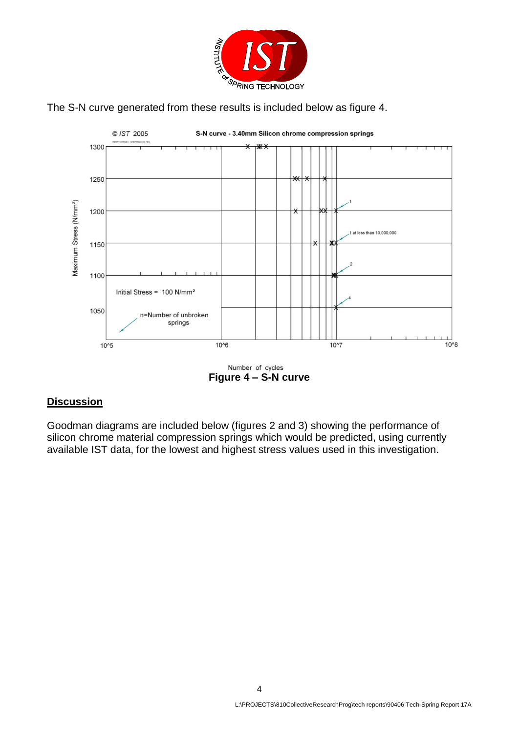





**Figure 4 – S-N curve**

# **Discussion**

Goodman diagrams are included below (figures 2 and 3) showing the performance of silicon chrome material compression springs which would be predicted, using currently available IST data, for the lowest and highest stress values used in this investigation.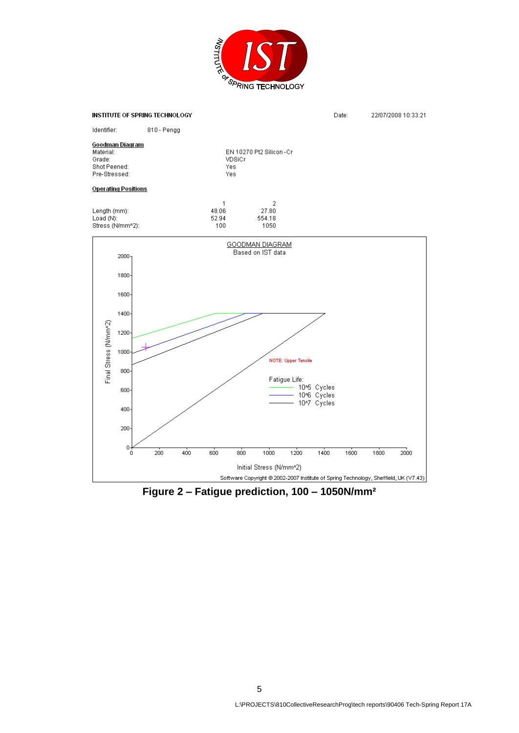



**Figure 2 – Fatigue prediction, 100 – 1050N/mm²**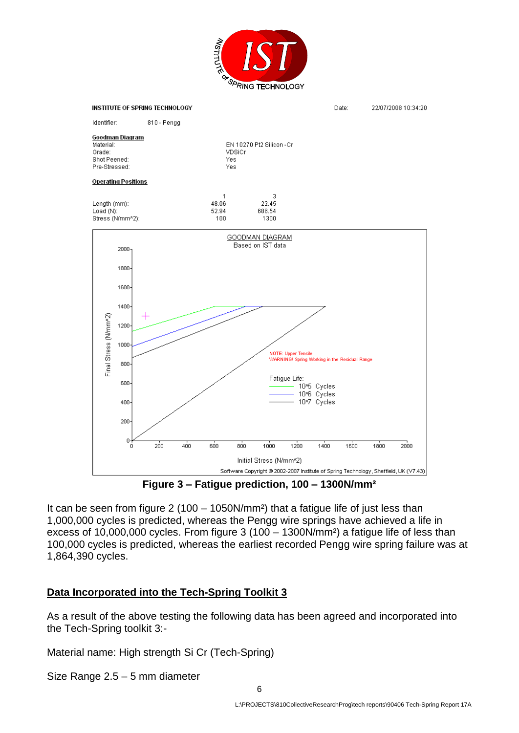![](_page_5_Picture_0.jpeg)

![](_page_5_Figure_1.jpeg)

**Figure 3 – Fatigue prediction, 100 – 1300N/mm²**

It can be seen from figure 2 (100 – 1050N/mm²) that a fatigue life of just less than 1,000,000 cycles is predicted, whereas the Pengg wire springs have achieved a life in excess of 10,000,000 cycles. From figure 3 (100 – 1300N/mm²) a fatigue life of less than 100,000 cycles is predicted, whereas the earliest recorded Pengg wire spring failure was at 1,864,390 cycles.

# **Data Incorporated into the Tech-Spring Toolkit 3**

As a result of the above testing the following data has been agreed and incorporated into the Tech-Spring toolkit 3:-

Material name: High strength Si Cr (Tech-Spring)

Size Range 2.5 – 5 mm diameter